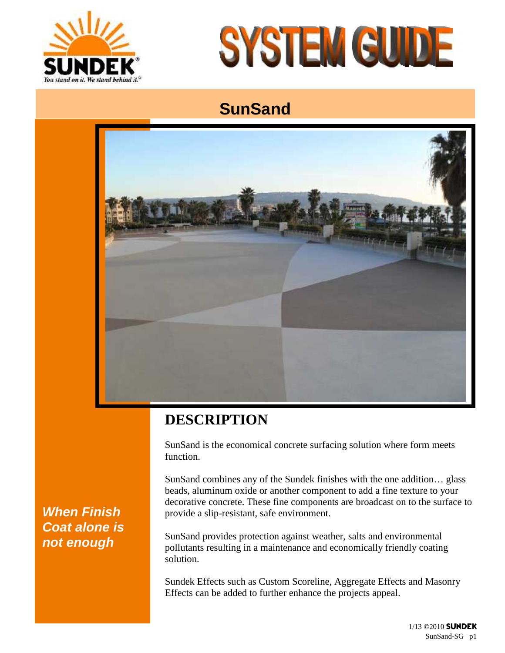



# **SunSand**



## **DESCRIPTION**

SunSand is the economical concrete surfacing solution where form meets function.

SunSand combines any of the Sundek finishes with the one addition… glass beads, aluminum oxide or another component to add a fine texture to your decorative concrete. These fine components are broadcast on to the surface to provide a slip-resistant, safe environment.

SunSand provides protection against weather, salts and environmental pollutants resulting in a maintenance and economically friendly coating solution.

Sundek Effects such as Custom Scoreline, Aggregate Effects and Masonry Effects can be added to further enhance the projects appeal.

### *When Finish Coat alone is not enough*